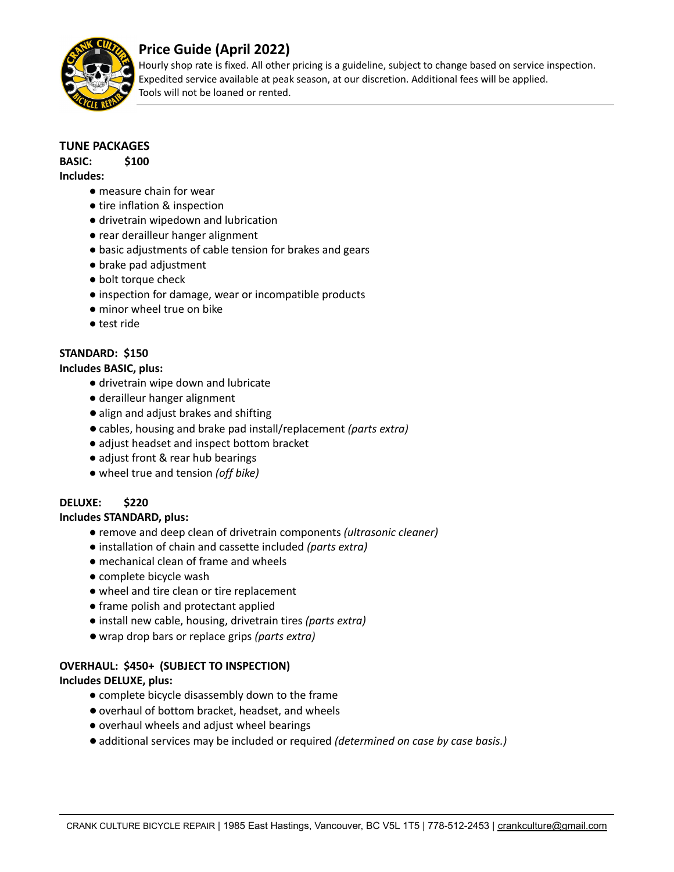

# **Price Guide (April 2022)**

Hourly shop rate is fixed. All other pricing is a guideline, subject to change based on service inspection. Expedited service available at peak season, at our discretion. Additional fees will be applied. Tools will not be loaned or rented.

### **TUNE PACKAGES**

**BASIC: \$100 Includes:**

- measure chain for wear
	- tire inflation & inspection
	- drivetrain wipedown and lubrication
	- rear derailleur hanger alignment
	- basic adjustments of cable tension for brakes and gears
	- brake pad adjustment
	- bolt torque check
	- inspection for damage, wear or incompatible products
	- minor wheel true on bike
	- test ride

### **STANDARD: \$150**

#### **Includes BASIC, plus:**

- drivetrain wipe down and lubricate
- derailleur hanger alignment
- align and adjust brakes and shifting
- ●cables, housing and brake pad install/replacement *(parts extra)*
- adjust headset and inspect bottom bracket
- adjust front & rear hub bearings
- wheel true and tension *(off bike)*

## **DELUXE: \$220**

#### **Includes STANDARD, plus:**

- remove and deep clean of drivetrain components *(ultrasonic cleaner)*
- installation of chain and cassette included *(parts extra)*
- mechanical clean of frame and wheels
- complete bicycle wash
- wheel and tire clean or tire replacement
- frame polish and protectant applied
- install new cable, housing, drivetrain tires *(parts extra)*
- wrap drop bars or replace grips *(parts extra)*

## **OVERHAUL: \$450+ (SUBJECT TO INSPECTION)**

#### **Includes DELUXE, plus:**

- complete bicycle disassembly down to the frame
- ●overhaul of bottom bracket, headset, and wheels
- overhaul wheels and adjust wheel bearings
- ●additional services may be included or required *(determined on case by case basis.)*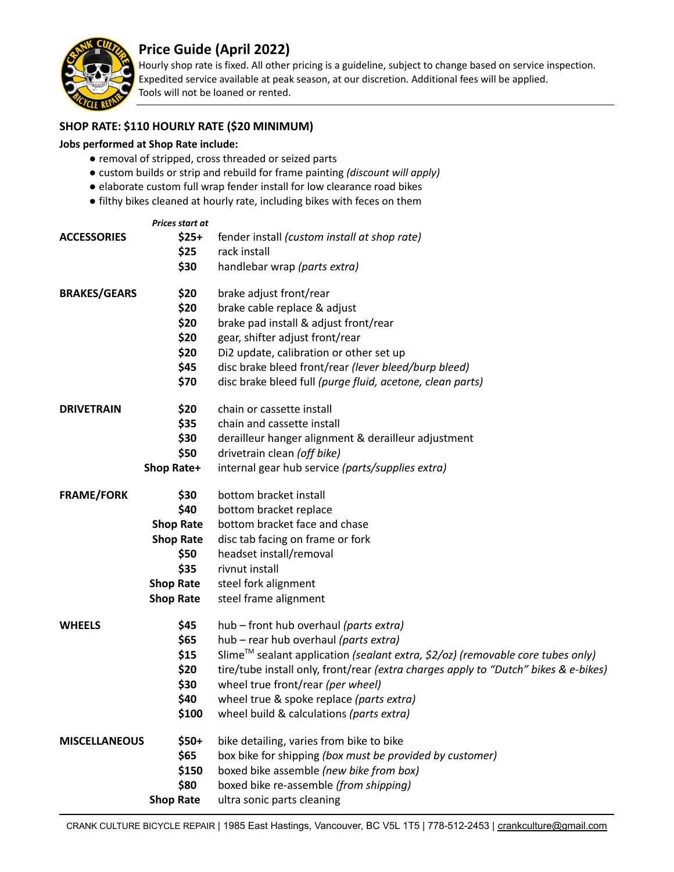

# **Price Guide (April 2022)**

Hourly shop rate is fixed. All other pricing is a guideline, subject to change based on service inspection. Expedited service available at peak season, at our discretion. Additional fees will be applied. Tools will not be loaned or rented.

#### **SHOP RATE: \$110 HOURLY RATE (\$20 MINIMUM)**

#### **Jobs performed at Shop Rate include:**

- removal of stripped, cross threaded or seized parts
- custom builds or strip and rebuild for frame painting *(discount will apply)*
- elaborate custom full wrap fender install for low clearance road bikes
- filthy bikes cleaned at hourly rate, including bikes with feces on them

| <b>ACCESSORIES</b>   | Prices start at<br>$$25+$<br>\$25<br>\$30                                                                    | fender install (custom install at shop rate)<br>rack install<br>handlebar wrap (parts extra)                                                                                                                                                                                                                                                                                                      |
|----------------------|--------------------------------------------------------------------------------------------------------------|---------------------------------------------------------------------------------------------------------------------------------------------------------------------------------------------------------------------------------------------------------------------------------------------------------------------------------------------------------------------------------------------------|
| <b>BRAKES/GEARS</b>  | \$20<br>\$20<br>\$20<br>\$20<br>\$20<br>\$45<br>\$70                                                         | brake adjust front/rear<br>brake cable replace & adjust<br>brake pad install & adjust front/rear<br>gear, shifter adjust front/rear<br>Di2 update, calibration or other set up<br>disc brake bleed front/rear (lever bleed/burp bleed)<br>disc brake bleed full (purge fluid, acetone, clean parts)                                                                                               |
| <b>DRIVETRAIN</b>    | \$20<br>\$35<br>\$30<br>\$50<br><b>Shop Rate+</b>                                                            | chain or cassette install<br>chain and cassette install<br>derailleur hanger alignment & derailleur adjustment<br>drivetrain clean (off bike)<br>internal gear hub service (parts/supplies extra)                                                                                                                                                                                                 |
| <b>FRAME/FORK</b>    | \$30<br>\$40<br><b>Shop Rate</b><br><b>Shop Rate</b><br>\$50<br>\$35<br><b>Shop Rate</b><br><b>Shop Rate</b> | bottom bracket install<br>bottom bracket replace<br>bottom bracket face and chase<br>disc tab facing on frame or fork<br>headset install/removal<br>rivnut install<br>steel fork alignment<br>steel frame alignment                                                                                                                                                                               |
| <b>WHEELS</b>        | \$45<br>\$65<br>\$15<br>\$20<br>\$30<br>\$40<br>\$100                                                        | hub - front hub overhaul (parts extra)<br>hub - rear hub overhaul (parts extra)<br>Slime <sup>™</sup> sealant application (sealant extra, \$2/oz) (removable core tubes only)<br>tire/tube install only, front/rear (extra charges apply to "Dutch" bikes & e-bikes)<br>wheel true front/rear (per wheel)<br>wheel true & spoke replace (parts extra)<br>wheel build & calculations (parts extra) |
| <b>MISCELLANEOUS</b> | $$50+$<br>\$65<br>\$150<br>\$80<br><b>Shop Rate</b>                                                          | bike detailing, varies from bike to bike<br>box bike for shipping (box must be provided by customer)<br>boxed bike assemble (new bike from box)<br>boxed bike re-assemble (from shipping)<br>ultra sonic parts cleaning                                                                                                                                                                           |